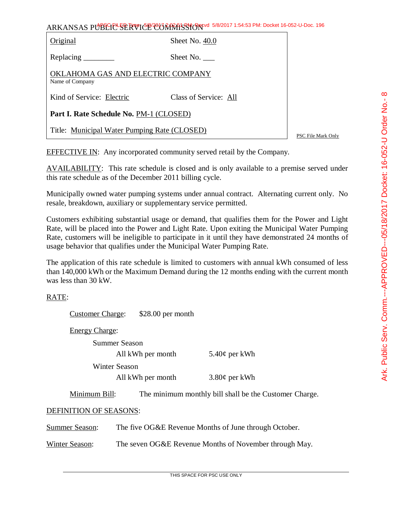| ARKANSAS PUBLICE SERVICE CORRATSSION 5/8/2017 1:54:53 PM: Docket 16-052-U-Doc. 196 |                  |  |
|------------------------------------------------------------------------------------|------------------|--|
| Original                                                                           | Sheet No. $40.0$ |  |
| Replacing                                                                          | Sheet No.        |  |

OKLAHOMA GAS AND ELECTRIC COMPANY Name of Company

Kind of Service: Electric Class of Service: All

**Part I. Rate Schedule No.** PM-1 (CLOSED)

Title: Municipal Water Pumping Rate (CLOSED)

PSC File Mark Only

EFFECTIVE IN: Any incorporated community served retail by the Company.

AVAILABILITY: This rate schedule is closed and is only available to a premise served under this rate schedule as of the December 2011 billing cycle.

Municipally owned water pumping systems under annual contract. Alternating current only. No resale, breakdown, auxiliary or supplementary service permitted.

Customers exhibiting substantial usage or demand, that qualifies them for the Power and Light Rate, will be placed into the Power and Light Rate. Upon exiting the Municipal Water Pumping Rate, customers will be ineligible to participate in it until they have demonstrated 24 months of usage behavior that qualifies under the Municipal Water Pumping Rate.

The application of this rate schedule is limited to customers with annual kWh consumed of less than 140,000 kWh or the Maximum Demand during the 12 months ending with the current month was less than 30 kW.

## RATE:

Customer Charge: \$28.00 per month

Energy Charge:

Summer Season

Winter Season

All kWh per month  $3.80\phi$  per kWh

All kWh per month  $5.40¢$  per kWh

Minimum Bill: The minimum monthly bill shall be the Customer Charge.

## DEFINITION OF SEASONS:

Summer Season: The five OG&E Revenue Months of June through October.

Winter Season: The seven OG&E Revenue Months of November through May.